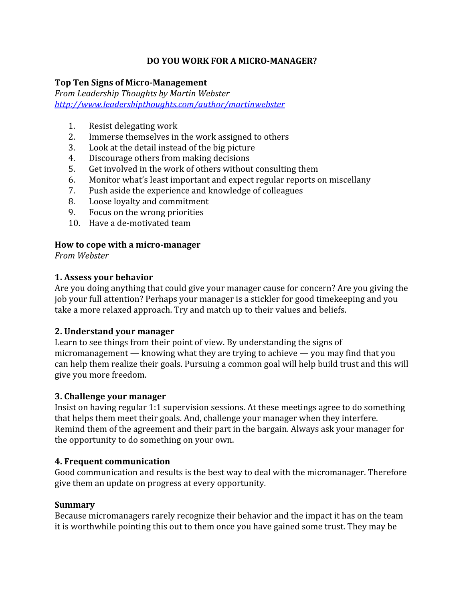# **DO YOU WORK FOR A MICRO-MANAGER?**

# **Top Ten Signs of Micro-Management**

*From Leadership Thoughts by Martin Webster <http://www.leadershipthoughts.com/author/martinwebster>*

- 1. Resist delegating work
- 2. Immerse themselves in the work assigned to others
- 3. Look at the detail instead of the big picture
- 4. Discourage others from making decisions
- 5. Get involved in the work of others without consulting them
- 6. Monitor what's least important and expect regular reports on miscellany
- 7. Push aside the experience and knowledge of colleagues
- 8. Loose loyalty and commitment
- 9. Focus on the wrong priorities
- 10. Have a de-motivated team

# **How to cope with a micro-manager**

*From Webster*

# **1. Assess your behavior**

Are you doing anything that could give your manager cause for concern? Are you giving the job your full attention? Perhaps your manager is a stickler for good timekeeping and you take a more relaxed approach. Try and match up to their values and beliefs.

### **2. Understand your manager**

Learn to see things from their point of view. By understanding the signs of micromanagement — knowing what they are trying to achieve — you may find that you can help them realize their goals. Pursuing a common goal will help build trust and this will give you more freedom.

### **3. Challenge your manager**

Insist on having regular 1:1 supervision sessions. At these meetings agree to do something that helps them meet their goals. And, challenge your manager when they interfere. Remind them of the agreement and their part in the bargain. Always ask your manager for the opportunity to do something on your own.

### **4. Frequent communication**

Good communication and results is the best way to deal with the micromanager. Therefore give them an update on progress at every opportunity.

### **Summary**

Because micromanagers rarely recognize their behavior and the impact it has on the team it is worthwhile pointing this out to them once you have gained some trust. They may be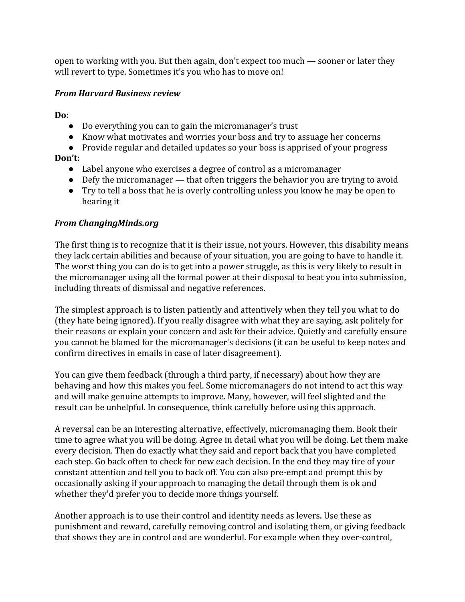open to working with you. But then again, don't expect too much — sooner or later they will revert to type. Sometimes it's you who has to move on!

# *From Harvard Business review*

**Do:**

- Do everything you can to gain the micromanager's trust
- Know what motivates and worries your boss and try to assuage her concerns
- Provide regular and detailed updates so your boss is apprised of your progress

# **Don't:**

- Label anyone who exercises a degree of control as a micromanager
- Defy the micromanager that often triggers the behavior you are trying to avoid
- Try to tell a boss that he is overly controlling unless you know he may be open to hearing it

# *From ChangingMinds.org*

The first thing is to recognize that it is their issue, not yours. However, this disability means they lack certain abilities and because of your situation, you are going to have to handle it. The worst thing you can do is to get into a power struggle, as this is very likely to result in the micromanager using all the formal power at their disposal to beat you into submission, including threats of dismissal and negative references.

The simplest approach is to listen patiently and attentively when they tell you what to do (they hate being ignored). If you really disagree with what they are saying, ask politely for their reasons or explain your concern and ask for their advice. Quietly and carefully ensure you cannot be blamed for the micromanager's decisions (it can be useful to keep notes and confirm directives in emails in case of later disagreement).

You can give them feedback (through a third party, if necessary) about how they are behaving and how this makes you feel. Some micromanagers do not intend to act this way and will make genuine attempts to improve. Many, however, will feel slighted and the result can be unhelpful. In consequence, think carefully before using this approach.

A reversal can be an interesting alternative, effectively, micromanaging them. Book their time to agree what you will be doing. Agree in detail what you will be doing. Let them make every decision. Then do exactly what they said and report back that you have completed each step. Go back often to check for new each decision. In the end they may tire of your constant attention and tell you to back off. You can also pre-empt and prompt this by occasionally asking if your approach to managing the detail through them is ok and whether they'd prefer you to decide more things yourself.

Another approach is to use their control and identity needs as levers. Use these as punishment and reward, carefully removing control and isolating them, or giving feedback that shows they are in control and are wonderful. For example when they over-control,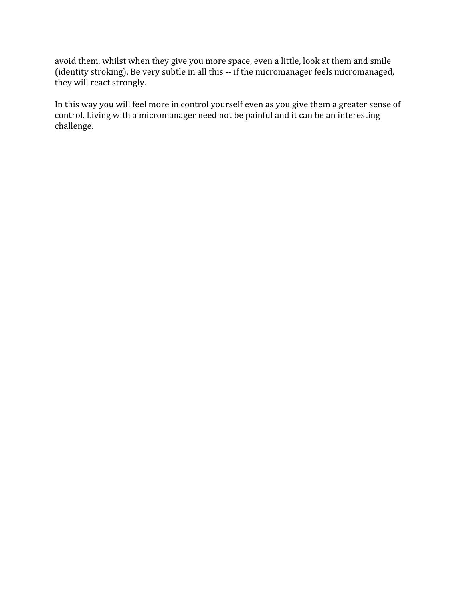avoid them, whilst when they give you more space, even a little, look at them and smile (identity stroking). Be very subtle in all this -- if the micromanager feels micromanaged, they will react strongly.

In this way you will feel more in control yourself even as you give them a greater sense of control. Living with a micromanager need not be painful and it can be an interesting challenge.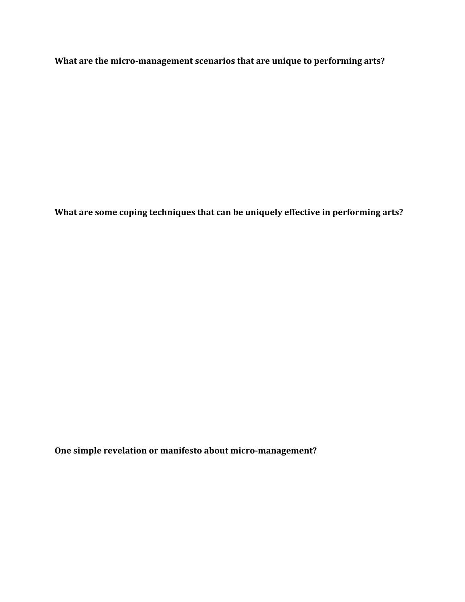**What are the micro-management scenarios that are unique to performing arts?**

**What are some coping techniques that can be uniquely effective in performing arts?**

**One simple revelation or manifesto about micro-management?**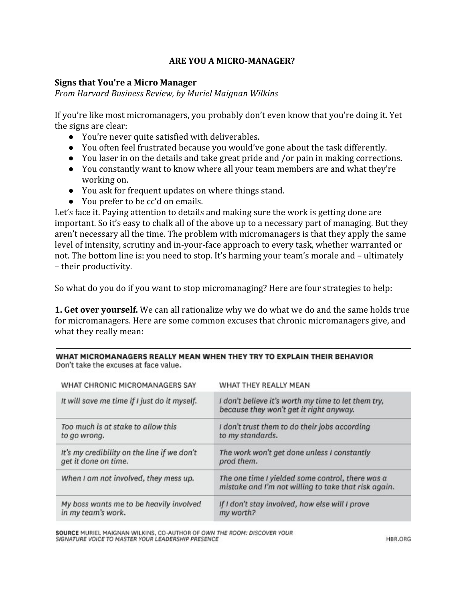#### **ARE YOU A MICRO-MANAGER?**

#### **Signs that You're a Micro Manager**

*From Harvard Business Review, by Muriel Maignan Wilkins*

If you're like most micromanagers, you probably don't even know that you're doing it. Yet the signs are clear:

- You're never quite satisfied with deliverables.
- You often feel frustrated because you would've gone about the task differently.
- You laser in on the details and take great pride and /or pain in making corrections.
- You constantly want to know where all your team members are and what they're working on.
- You ask for frequent updates on where things stand.
- You prefer to be cc'd on emails.

Let's face it. Paying attention to details and making sure the work is getting done are important. So it's easy to chalk all of the above up to a necessary part of managing. But they aren't necessary all the time. The problem with micromanagers is that they apply the same level of intensity, scrutiny and in-your-face approach to every task, whether warranted or not. The bottom line is: you need to stop. It's harming your team's morale and – ultimately – their productivity.

So what do you do if you want to stop micromanaging? Here are four strategies to help:

**1. Get over yourself.** We can all rationalize why we do what we do and the same holds true for micromanagers. Here are some common excuses that chronic micromanagers give, and what they really mean:

#### WHAT MICROMANAGERS REALLY MEAN WHEN THEY TRY TO EXPLAIN THEIR BEHAVIOR Don't take the excuses at face value.

| WHAT CHRONIC MICROMANAGERS SAY               | WHAT THEY REALLY MEAN                                                                                    |
|----------------------------------------------|----------------------------------------------------------------------------------------------------------|
| It will save me time if I just do it myself. | I don't believe it's worth my time to let them try,<br>because they won't get it right anyway.           |
| Too much is at stake to allow this           | I don't trust them to do their jobs according                                                            |
| to go wrong.                                 | to my standards.                                                                                         |
| It's my credibility on the line if we don't  | The work won't get done unless I constantly                                                              |
| get it done on time.                         | prod them.                                                                                               |
| When I am not involved, they mess up.        | The one time I yielded some control, there was a<br>mistake and I'm not willing to take that risk again. |
| My boss wants me to be heavily involved      | If I don't stay involved, how else will I prove                                                          |
| in my team's work.                           | my worth?                                                                                                |

SOURCE MURIEL MAIGNAN WILKINS, CO-AUTHOR OF OWN THE ROOM: DISCOVER YOUR SIGNATURE VOICE TO MASTER YOUR LEADERSHIP PRESENCE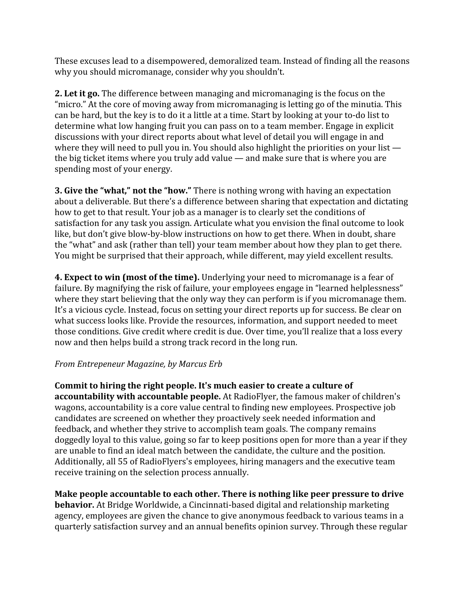These excuses lead to a disempowered, demoralized team. Instead of finding all the reasons why you should micromanage, consider why you shouldn't.

**2. Let it go.**The difference between managing and micromanaging is the focus on the "micro." At the core of moving away from micromanaging is letting go of the minutia. This can be hard, but the key is to do it a little at a time. Start by looking at your to-do list to determine what low hanging fruit you can pass on to a team member. Engage in explicit discussions with your direct reports about what level of detail you will engage in and where they will need to pull you in. You should also highlight the priorities on your list the big ticket items where you truly add value — and make sure that is where you are spending most of your energy.

**3. Give the "what," not the "how."**There is nothing wrong with having an expectation about a deliverable. But there's a difference between sharing that expectation and dictating how to get to that result. Your job as a manager is to clearly set the conditions of satisfaction for any task you assign. Articulate what you envision the final outcome to look like, but don't give blow-by-blow instructions on how to get there. When in doubt, share the "what" and ask (rather than tell) your team member about how they plan to get there. You might be surprised that their approach, while different, may yield excellent results.

**4. Expect to win (most of the time).** Underlying your need to micromanage is a fear of failure. By magnifying the risk of failure, your employees engage in "learned helplessness" where they start believing that the only way they can perform is if you micromanage them. It's a vicious cycle. Instead, focus on setting your direct reports up for success. Be clear on what success looks like. Provide the resources, information, and support needed to meet those conditions. Give credit where credit is due. Over time, you'll realize that a loss every now and then helps build a strong track record in the long run.

### *From Entrepeneur Magazine, by Marcus Erb*

**Commit to hiring the right people. It's much easier to create a culture of accountability with accountable people.** At RadioFlyer, the famous maker of children's wagons, accountability is a core value central to finding new employees. Prospective job candidates are screened on whether they proactively seek needed information and feedback, and whether they strive to accomplish team goals. The company remains doggedly loyal to this value, going so far to keep positions open for more than a year if they are unable to find an ideal match between the candidate, the culture and the position. Additionally, all 55 of RadioFlyers's employees, hiring managers and the executive team receive training on the selection process annually.

**Make people accountable to each other. There is nothing like peer pressure to drive behavior.** At Bridge Worldwide, a Cincinnati-based digital and relationship marketing agency, employees are given the chance to give anonymous feedback to various teams in a quarterly satisfaction survey and an annual benefits opinion survey. Through these regular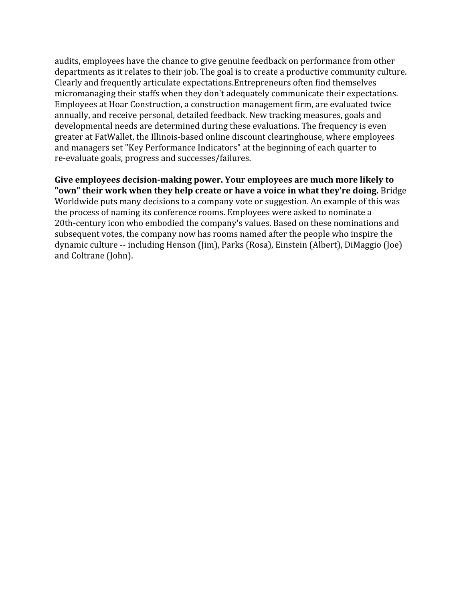audits, employees have the chance to give genuine feedback on performance from other departments as it relates to their job. The goal is to create a productive community culture. Clearly and frequently articulate expectations.Entrepreneurs often find themselves micromanaging their staffs when they don't adequately communicate their expectations. Employees at Hoar Construction, a construction management firm, are evaluated twice annually, and receive personal, detailed feedback. New tracking measures, goals and developmental needs are determined during these evaluations. The frequency is even greater at FatWallet, the Illinois-based online discount clearinghouse, where employees and managers set "Key Performance Indicators" at the beginning of each quarter to re-evaluate goals, progress and successes/failures.

**Give employees decision-making power. Your employees are much more likely to "own" their work when they help create or have a voice in what they're doing.**Bridge Worldwide puts many decisions to a company vote or suggestion. An example of this was the process of naming its conference rooms. Employees were asked to nominate a 20th-century icon who embodied the company's values. Based on these nominations and subsequent votes, the company now has rooms named after the people who inspire the dynamic culture -- including Henson (Jim), Parks (Rosa), Einstein (Albert), DiMaggio (Joe) and Coltrane (John).